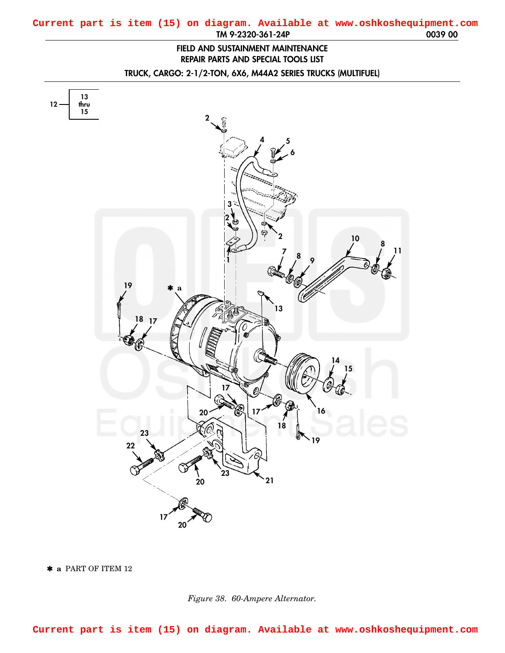## **FIELD AND SUSTAINMENT MAINTENANCE REPAIR PARTS AND SPECIAL TOOLS LIST**

**TRUCK, CARGO: 2-1/2-TON, 6X6, M44A2 SERIES TRUCKS (MULTIFUEL)**

<span id="page-0-0"></span>

✱ **a** PART OF ITEM 12

*Figure 38. 60-Ampere Alternator.*

**Current part is item (15) on diagram. Available at www.oshkoshequipment.com**